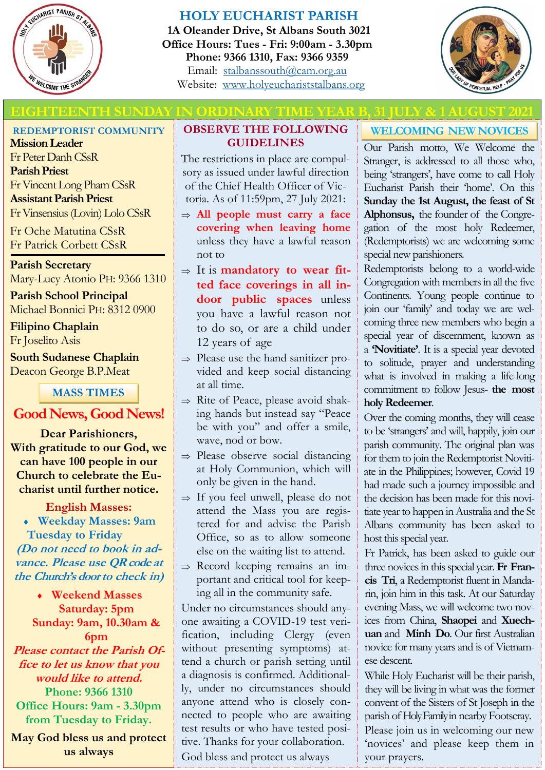

## **HOLY EUCHARIST PARISH**

**1A Oleander Drive, St Albans South 3021 Office Hours: Tues - Fri: 9:00am - 3.30pm Phone: 9366 1310, Fax: 9366 9359** Email: [stalbanssouth@cam.org.au](mailto:stalbanssouth@cam.org.au) Website:[www.holyeuchariststalbans.org](http://www.holyeuchariststalbans.org)



## **EITEENTH SUNDAY IN ORDINARY TIME YEAR B, 31 JULY & 1**

**REDEMPTORIST COMMUNITY**

**Mission Leader** Fr Peter Danh CSsR **Parish Priest** Fr Vincent Long Pham CSsR **Assistant Parish Priest**  Fr Vinsensius (Lovin) Lolo CSsR

Fr Oche Matutina CSsR Fr Patrick Corbett CSsR

**Parish Secretary** Mary-Lucy Atonio PH: 9366 1310

**Parish School Principal** Michael Bonnici PH: 8312 0900

**Filipino Chaplain** Fr Joselito Asis

**South Sudanese Chaplain** Deacon George B.P.Meat

**MASS TIMES**

## **Good News, Good News!**

**Dear Parishioners, With gratitude to our God, we can have 100 people in our Church to celebrate the Eucharist until further notice.**

**English Masses: Weekday Masses: 9am Tuesday to Friday (Do not need to book in advance. Please use QR code at the Church's door to check in)**

> **Weekend Masses Saturday: 5pm Sunday: 9am, 10.30am &**

**6pm Please contact the Parish Office to let us know that you would like to attend. Phone: 9366 1310 Office Hours: 9am - 3.30pm from Tuesday to Friday.** 

**May God bless us and protect us always**

### **OBSERVE THE FOLLOWING GUIDELINES**

The restrictions in place are compulsory as issued under lawful direction of the Chief Health Officer of Victoria. As of 11:59pm, 27 July 2021:

- **All people must carry a face covering when leaving home**  unless they have a lawful reason not to
- $\Rightarrow$  It is **mandatory to wear fitted face coverings in all indoor public spaces** unless you have a lawful reason not to do so, or are a child under 12 years of age
- $\Rightarrow$  Please use the hand sanitizer provided and keep social distancing at all time.
- $\Rightarrow$  Rite of Peace, please avoid shaking hands but instead say "Peace be with you" and offer a smile, wave, nod or bow.
- $\Rightarrow$  Please observe social distancing at Holy Communion, which will only be given in the hand.
- $\Rightarrow$  If you feel unwell, please do not attend the Mass you are registered for and advise the Parish Office, so as to allow someone else on the waiting list to attend.
- $\Rightarrow$  Record keeping remains an important and critical tool for keeping all in the community safe.

Under no circumstances should anyone awaiting a COVID-19 test verification, including Clergy (even without presenting symptoms) attend a church or parish setting until a diagnosis is confirmed. Additionally, under no circumstances should anyone attend who is closely connected to people who are awaiting test results or who have tested positive. Thanks for your collaboration. God bless and protect us always

# **WELCOMING NEW NOVICES**

Our Parish motto, We Welcome the Stranger, is addressed to all those who, being 'strangers', have come to call Holy Eucharist Parish their 'home'. On this **Sunday the 1st August, the feast of St Alphonsus,** the founder of the Congregation of the most holy Redeemer, (Redemptorists) we are welcoming some special new parishioners.

Redemptorists belong to a world-wide Congregation with members in all the five Continents. Young people continue to join our 'family' and today we are welcoming three new members who begin a special year of discernment, known as a **'Novitiate'**. It is a special year devoted to solitude, prayer and understanding what is involved in making a life-long commitment to follow Jesus- **the most holy Redeemer**.

Over the coming months, they will cease to be 'strangers' and will, happily, join our parish community. The original plan was for them to join the Redemptorist Novitiate in the Philippines; however, Covid 19 had made such a journey impossible and the decision has been made for this novitiate year to happen in Australia and the St Albans community has been asked to host this special year.

Fr Patrick, has been asked to guide our three novices in this special year.**Fr Francis Tri**, a Redemptorist fluent in Mandarin, join him in this task. At our Saturday evening Mass, we will welcome two novices from China, **Shaopei** and **Xuechuan** and **Minh Do**. Our first Australian novice for many years and is of Vietnamese descent.

While Holy Eucharist will be their parish, they will be living in what was the former convent of the Sisters of St Joseph in the parish of Holy Family in nearby Footscray. Please join us in welcoming our new 'novices' and please keep them in your prayers.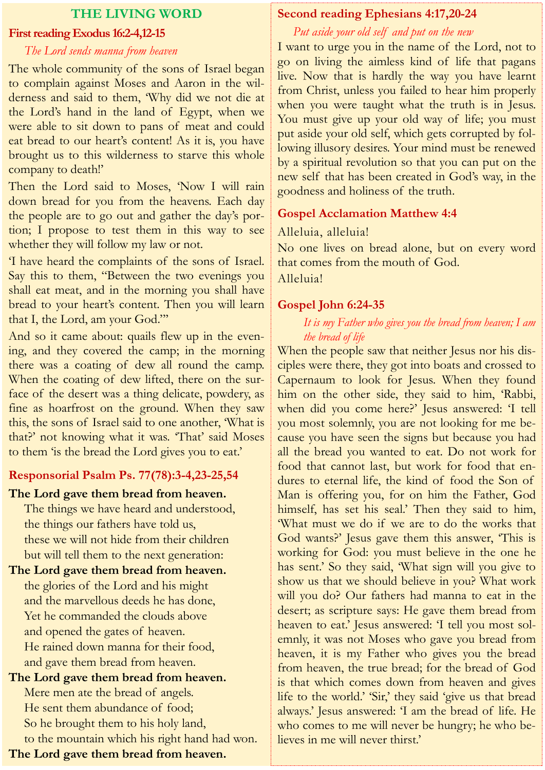### **THE LIVING WORD**

#### **First reading Exodus 16:2-4,12-15**

#### *The Lord sends manna from heaven*

The whole community of the sons of Israel began to complain against Moses and Aaron in the wilderness and said to them, 'Why did we not die at the Lord's hand in the land of Egypt, when we were able to sit down to pans of meat and could eat bread to our heart's content! As it is, you have brought us to this wilderness to starve this whole company to death!'

Then the Lord said to Moses, 'Now I will rain down bread for you from the heavens. Each day the people are to go out and gather the day's portion; I propose to test them in this way to see whether they will follow my law or not.

'I have heard the complaints of the sons of Israel. Say this to them, "Between the two evenings you shall eat meat, and in the morning you shall have bread to your heart's content. Then you will learn that I, the Lord, am your God."'

And so it came about: quails flew up in the evening, and they covered the camp; in the morning there was a coating of dew all round the camp. When the coating of dew lifted, there on the surface of the desert was a thing delicate, powdery, as fine as hoarfrost on the ground. When they saw this, the sons of Israel said to one another, 'What is that?' not knowing what it was. 'That' said Moses to them 'is the bread the Lord gives you to eat.'

### **Responsorial Psalm Ps. 77(78):3-4,23-25,54**

### **The Lord gave them bread from heaven.**

The things we have heard and understood, the things our fathers have told us, these we will not hide from their children but will tell them to the next generation:

**The Lord gave them bread from heaven.** the glories of the Lord and his might and the marvellous deeds he has done, Yet he commanded the clouds above and opened the gates of heaven. He rained down manna for their food, and gave them bread from heaven.

**The Lord gave them bread from heaven.** Mere men ate the bread of angels. He sent them abundance of food; So he brought them to his holy land, to the mountain which his right hand had won. **The Lord gave them bread from heaven.**

### **Second reading Ephesians 4:17,20-24**

### *Put aside your old self and put on the new*

I want to urge you in the name of the Lord, not to go on living the aimless kind of life that pagans live. Now that is hardly the way you have learnt from Christ, unless you failed to hear him properly when you were taught what the truth is in Jesus. You must give up your old way of life; you must put aside your old self, which gets corrupted by following illusory desires. Your mind must be renewed by a spiritual revolution so that you can put on the new self that has been created in God's way, in the goodness and holiness of the truth.

### **Gospel Acclamation Matthew 4:4**

### Alleluia, alleluia!

No one lives on bread alone, but on every word that comes from the mouth of God. Alleluia!

### **Gospel John 6:24-35**

### *It is my Father who gives you the bread from heaven; I am the bread of life*

When the people saw that neither Jesus nor his disciples were there, they got into boats and crossed to Capernaum to look for Jesus. When they found him on the other side, they said to him, 'Rabbi, when did you come here?' Jesus answered: 'I tell you most solemnly, you are not looking for me because you have seen the signs but because you had all the bread you wanted to eat. Do not work for food that cannot last, but work for food that endures to eternal life, the kind of food the Son of Man is offering you, for on him the Father, God himself, has set his seal.' Then they said to him, 'What must we do if we are to do the works that God wants?' Jesus gave them this answer, 'This is working for God: you must believe in the one he has sent.' So they said, 'What sign will you give to show us that we should believe in you? What work will you do? Our fathers had manna to eat in the desert; as scripture says: He gave them bread from heaven to eat.' Jesus answered: 'I tell you most solemnly, it was not Moses who gave you bread from heaven, it is my Father who gives you the bread from heaven, the true bread; for the bread of God is that which comes down from heaven and gives life to the world.' 'Sir,' they said 'give us that bread always.' Jesus answered: 'I am the bread of life. He who comes to me will never be hungry; he who believes in me will never thirst.'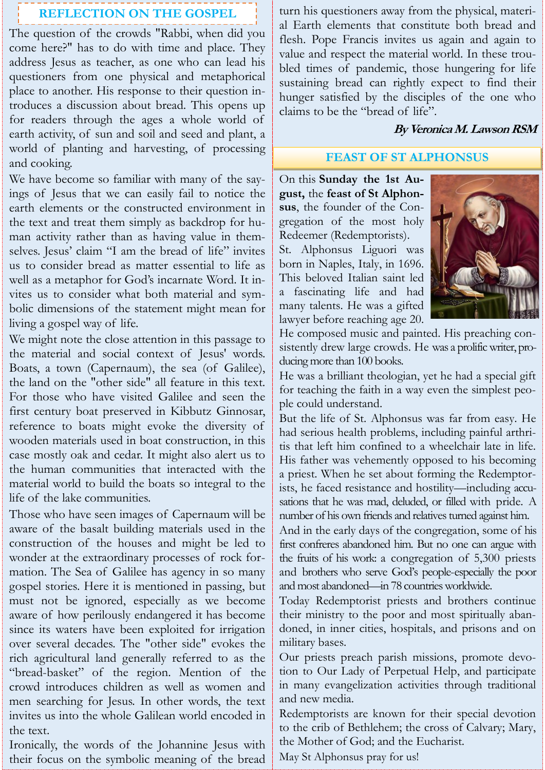# **REFLECTION ON THE GOSPEL**

The question of the crowds "Rabbi, when did you come here?" has to do with time and place. They address Jesus as teacher, as one who can lead his questioners from one physical and metaphorical place to another. His response to their question introduces a discussion about bread. This opens up for readers through the ages a whole world of earth activity, of sun and soil and seed and plant, a world of planting and harvesting, of processing and cooking.

We have become so familiar with many of the sayings of Jesus that we can easily fail to notice the earth elements or the constructed environment in the text and treat them simply as backdrop for human activity rather than as having value in themselves. Jesus' claim "I am the bread of life" invites us to consider bread as matter essential to life as well as a metaphor for God's incarnate Word. It invites us to consider what both material and symbolic dimensions of the statement might mean for living a gospel way of life.

We might note the close attention in this passage to the material and social context of Jesus' words. Boats, a town (Capernaum), the sea (of Galilee), the land on the "other side" all feature in this text. For those who have visited Galilee and seen the first century boat preserved in Kibbutz Ginnosar, reference to boats might evoke the diversity of wooden materials used in boat construction, in this case mostly oak and cedar. It might also alert us to the human communities that interacted with the material world to build the boats so integral to the life of the lake communities.

Those who have seen images of Capernaum will be aware of the basalt building materials used in the construction of the houses and might be led to wonder at the extraordinary processes of rock formation. The Sea of Galilee has agency in so many gospel stories. Here it is mentioned in passing, but must not be ignored, especially as we become aware of how perilously endangered it has become since its waters have been exploited for irrigation over several decades. The "other side" evokes the rich agricultural land generally referred to as the "bread-basket" of the region. Mention of the crowd introduces children as well as women and men searching for Jesus. In other words, the text invites us into the whole Galilean world encoded in the text.

Ironically, the words of the Johannine Jesus with their focus on the symbolic meaning of the bread turn his questioners away from the physical, material Earth elements that constitute both bread and flesh. Pope Francis invites us again and again to value and respect the material world. In these troubled times of pandemic, those hungering for life sustaining bread can rightly expect to find their hunger satisfied by the disciples of the one who claims to be the "bread of life".

### **By Veronica M. Lawson RSM**

## **FEAST OF ST ALPHONSUS**

On this **Sunday the 1st August,** the **feast of St Alphonsus**, the founder of the Congregation of the most holy Redeemer (Redemptorists).

St. Alphonsus Liguori was born in Naples, Italy, in 1696. This beloved Italian saint led a fascinating life and had many talents. He was a gifted lawyer before reaching age 20.



He composed music and painted. His preaching consistently drew large crowds. He was a prolific writer, producing more than 100 books.

He was a brilliant theologian, yet he had a special gift for teaching the faith in a way even the simplest people could understand.

But the life of St. Alphonsus was far from easy. He had serious health problems, including painful arthritis that left him confined to a wheelchair late in life. His father was vehemently opposed to his becoming a priest. When he set about forming the Redemptorists, he faced resistance and hostility—including accusations that he was mad, deluded, or filled with pride. A number of his own friends and relatives turned against him.

And in the early days of the congregation, some of his first confreres abandoned him. But no one can argue with the fruits of his work: a congregation of 5,300 priests and brothers who serve God's people-especially the poor and most abandoned—in 78 countries worldwide.

Today Redemptorist priests and brothers continue their ministry to the poor and most spiritually abandoned, in inner cities, hospitals, and prisons and on military bases.

Our priests preach parish missions, promote devotion to Our Lady of Perpetual Help, and participate in many evangelization activities through traditional and new media.

Redemptorists are known for their special devotion to the crib of Bethlehem; the cross of Calvary; Mary, the Mother of God; and the Eucharist.

May St Alphonsus pray for us!